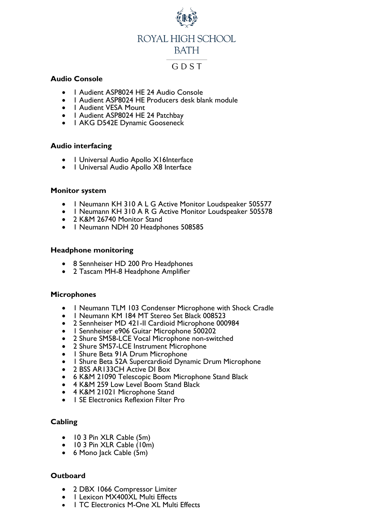

### **Audio Console**

- 1 Audient ASP8024 HE 24 Audio Console
- 1 Audient ASP8024 HE Producers desk blank module
- | Audient VESA Mount
- 1 Audient ASP8024 HE 24 Patchbay
- 1 AKG D542E Dynamic Gooseneck

### **Audio interfacing**

- 1 Universal Audio Apollo X16Interface
- 1 Universal Audio Apollo X8 Interface

#### **Monitor system**

- 1 Neumann KH 310 A L G Active Monitor Loudspeaker 505577
- 1 Neumann KH 310 A R G Active Monitor Loudspeaker 505578
- 2 K&M 26740 Monitor Stand
- 1 Neumann NDH 20 Headphones 508585

#### **Headphone monitoring**

- 8 Sennheiser HD 200 Pro Headphones
- 2 Tascam MH-8 Headphone Amplifier

#### **Microphones**

- 1 Neumann TLM 103 Condenser Microphone with Shock Cradle
- 1 Neumann KM 184 MT Stereo Set Black 008523
- 2 Sennheiser MD 421-II Cardioid Microphone 000984
- 1 Sennheiser e906 Guitar Microphone 500202
- 2 Shure SM58-LCE Vocal Microphone non-switched
- 2 Shure SM57-LCE Instrument Microphone
- 1 Shure Beta 91A Drum Microphone
- 1 Shure Beta 52A Supercardioid Dynamic Drum Microphone
- 2 BSS AR133CH Active DI Box
- 6 K&M 21090 Telescopic Boom Microphone Stand Black
- 4 K&M 259 Low Level Boom Stand Black
- 4 K&M 21021 Microphone Stand
- 1 SE Electronics Reflexion Filter Pro

# **Cabling**

- 10 3 Pin XLR Cable (5m)
- 10 3 Pin XLR Cable (10m)
- 6 Mono Jack Cable (5m)

# **Outboard**

- 2 DBX 1066 Compressor Limiter
- I Lexicon MX400XL Multi Effects
- 1 TC Electronics M-One XL Multi Effects